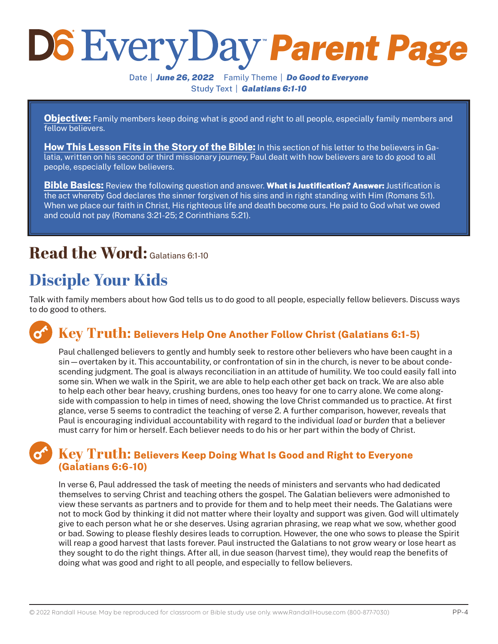# *Parent Page*

Date | *June 26, 2022* Family Theme | *Do Good to Everyone* Study Text | *Galatians 6:1-10*

**Objective:** Family members keep doing what is good and right to all people, especially family members and fellow believers.

**How This Lesson Fits in the Story of the Bible:** In this section of his letter to the believers in Galatia, written on his second or third missionary journey, Paul dealt with how believers are to do good to all people, especially fellow believers.

**Bible Basics:** Review the following question and answer. What is Justification? Answer: Justification is the act whereby God declares the sinner forgiven of his sins and in right standing with Him (Romans 5:1). When we place our faith in Christ, His righteous life and death become ours. He paid to God what we owed and could not pay (Romans 3:21-25; 2 Corinthians 5:21).

# **Read the Word:** Galatians 6:1-10

# **Disciple Your Kids**

Talk with family members about how God tells us to do good to all people, especially fellow believers. Discuss ways to do good to others.

#### **Key Truth: Believers Help One Another Follow Christ (Galatians 6:1-5)**

Paul challenged believers to gently and humbly seek to restore other believers who have been caught in a sin—overtaken by it. This accountability, or confrontation of sin in the church, is never to be about condescending judgment. The goal is always reconciliation in an attitude of humility. We too could easily fall into some sin. When we walk in the Spirit, we are able to help each other get back on track. We are also able to help each other bear heavy, crushing burdens, ones too heavy for one to carry alone. We come alongside with compassion to help in times of need, showing the love Christ commanded us to practice. At first glance, verse 5 seems to contradict the teaching of verse 2. A further comparison, however, reveals that Paul is encouraging individual accountability with regard to the individual *load* or *burden* that a believer must carry for him or herself. Each believer needs to do his or her part within the body of Christ.

#### **Key Truth: Believers Keep Doing What Is Good and Right to Everyone (Galatians 6:6-10)**

In verse 6, Paul addressed the task of meeting the needs of ministers and servants who had dedicated themselves to serving Christ and teaching others the gospel. The Galatian believers were admonished to view these servants as partners and to provide for them and to help meet their needs. The Galatians were not to mock God by thinking it did not matter where their loyalty and support was given. God will ultimately give to each person what he or she deserves. Using agrarian phrasing, we reap what we sow, whether good or bad. Sowing to please fleshly desires leads to corruption. However, the one who sows to please the Spirit will reap a good harvest that lasts forever. Paul instructed the Galatians to not grow weary or lose heart as they sought to do the right things. After all, in due season (harvest time), they would reap the benefits of doing what was good and right to all people, and especially to fellow believers.